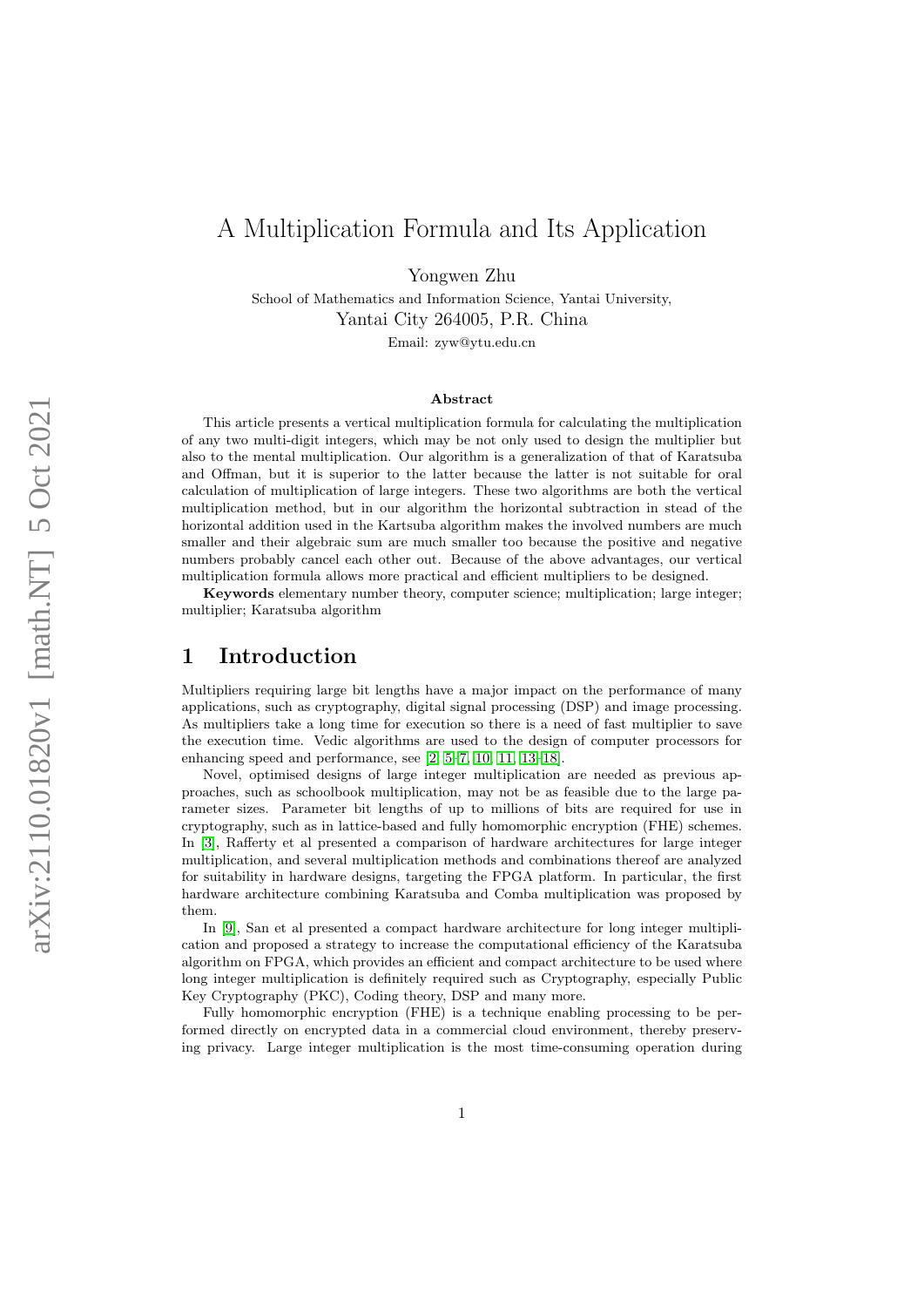## A Multiplication Formula and Its Application

Yongwen Zhu

School of Mathematics and Information Science, Yantai University, Yantai City 264005, P.R. China

Email: zyw@ytu.edu.cn

#### Abstract

This article presents a vertical multiplication formula for calculating the multiplication of any two multi-digit integers, which may be not only used to design the multiplier but also to the mental multiplication. Our algorithm is a generalization of that of Karatsuba and Offman, but it is superior to the latter because the latter is not suitable for oral calculation of multiplication of large integers. These two algorithms are both the vertical multiplication method, but in our algorithm the horizontal subtraction in stead of the horizontal addition used in the Kartsuba algorithm makes the involved numbers are much smaller and their algebraic sum are much smaller too because the positive and negative numbers probably cancel each other out. Because of the above advantages, our vertical multiplication formula allows more practical and efficient multipliers to be designed.

Keywords elementary number theory, computer science; multiplication; large integer; multiplier; Karatsuba algorithm

#### 1 Introduction

Multipliers requiring large bit lengths have a major impact on the performance of many applications, such as cryptography, digital signal processing (DSP) and image processing. As multipliers take a long time for execution so there is a need of fast multiplier to save the execution time. Vedic algorithms are used to the design of computer processors for enhancing speed and performance, see [\[2,](#page-12-0) [5–](#page-13-0)[7,](#page-13-1) [10,](#page-13-2) [11,](#page-13-3) [13–](#page-13-4)[18\]](#page-13-5).

Novel, optimised designs of large integer multiplication are needed as previous approaches, such as schoolbook multiplication, may not be as feasible due to the large parameter sizes. Parameter bit lengths of up to millions of bits are required for use in cryptography, such as in lattice-based and fully homomorphic encryption (FHE) schemes. In [\[3\]](#page-13-6), Rafferty et al presented a comparison of hardware architectures for large integer multiplication, and several multiplication methods and combinations thereof are analyzed for suitability in hardware designs, targeting the FPGA platform. In particular, the first hardware architecture combining Karatsuba and Comba multiplication was proposed by them.

In [\[9\]](#page-13-7), San et al presented a compact hardware architecture for long integer multiplication and proposed a strategy to increase the computational efficiency of the Karatsuba algorithm on FPGA, which provides an efficient and compact architecture to be used where long integer multiplication is definitely required such as Cryptography, especially Public Key Cryptography (PKC), Coding theory, DSP and many more.

Fully homomorphic encryption (FHE) is a technique enabling processing to be performed directly on encrypted data in a commercial cloud environment, thereby preserving privacy. Large integer multiplication is the most time-consuming operation during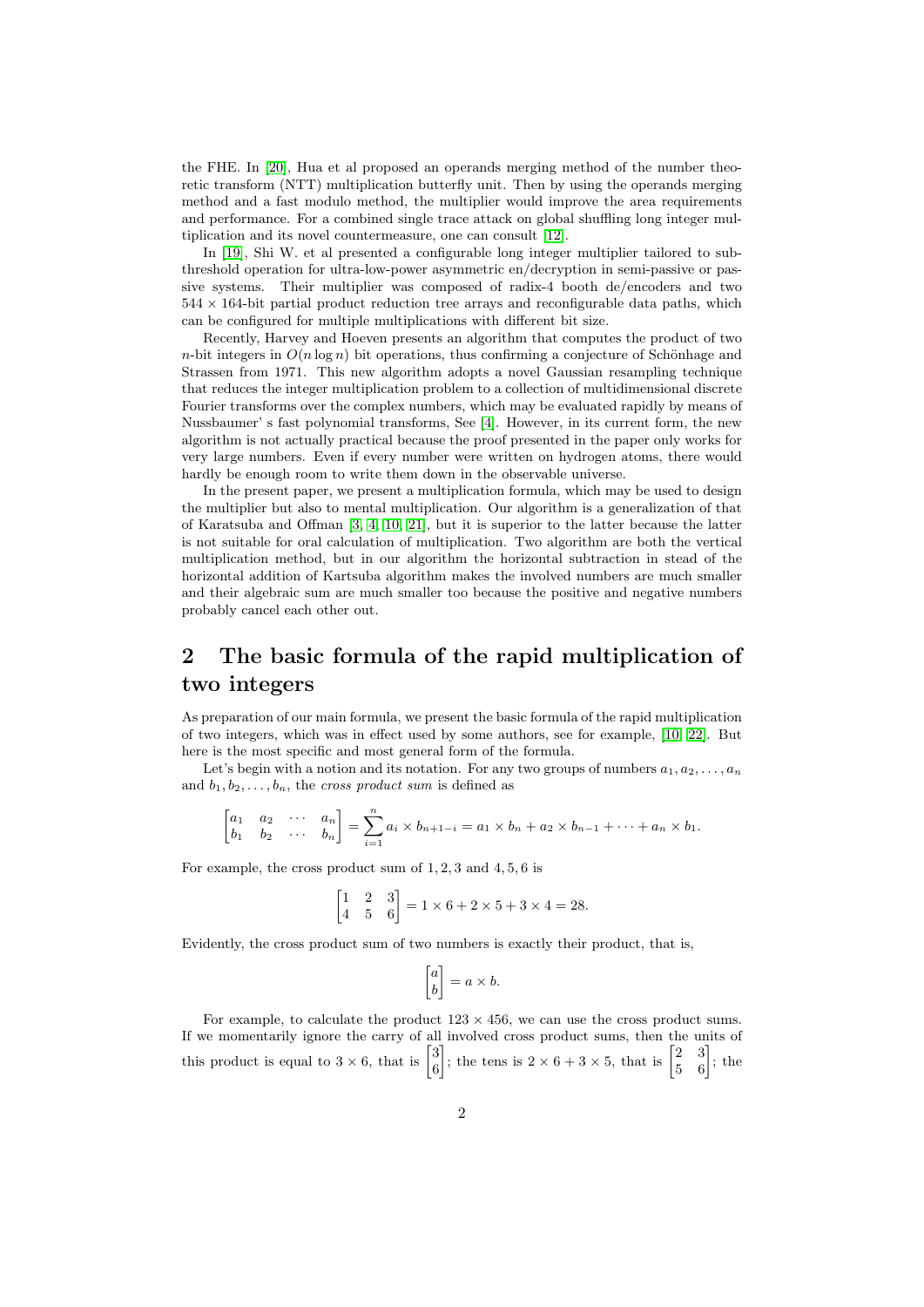the FHE. In [\[20\]](#page-14-0), Hua et al proposed an operands merging method of the number theoretic transform (NTT) multiplication butterfly unit. Then by using the operands merging method and a fast modulo method, the multiplier would improve the area requirements and performance. For a combined single trace attack on global shuffling long integer multiplication and its novel countermeasure, one can consult [\[12\]](#page-13-8).

In [\[19\]](#page-13-9), Shi W. et al presented a configurable long integer multiplier tailored to subthreshold operation for ultra-low-power asymmetric en/decryption in semi-passive or passive systems. Their multiplier was composed of radix-4 booth de/encoders and two  $544 \times 164$ -bit partial product reduction tree arrays and reconfigurable data paths, which can be configured for multiple multiplications with different bit size.

Recently, Harvey and Hoeven presents an algorithm that computes the product of two n-bit integers in  $O(n \log n)$  bit operations, thus confirming a conjecture of Schönhage and Strassen from 1971. This new algorithm adopts a novel Gaussian resampling technique that reduces the integer multiplication problem to a collection of multidimensional discrete Fourier transforms over the complex numbers, which may be evaluated rapidly by means of Nussbaumer' s fast polynomial transforms, See [\[4\]](#page-13-10). However, in its current form, the new algorithm is not actually practical because the proof presented in the paper only works for very large numbers. Even if every number were written on hydrogen atoms, there would hardly be enough room to write them down in the observable universe.

In the present paper, we present a multiplication formula, which may be used to design the multiplier but also to mental multiplication. Our algorithm is a generalization of that of Karatsuba and Offman [\[3,](#page-13-6) [4,](#page-13-10) [10,](#page-13-2) [21\]](#page-14-1), but it is superior to the latter because the latter is not suitable for oral calculation of multiplication. Two algorithm are both the vertical multiplication method, but in our algorithm the horizontal subtraction in stead of the horizontal addition of Kartsuba algorithm makes the involved numbers are much smaller and their algebraic sum are much smaller too because the positive and negative numbers probably cancel each other out.

### 2 The basic formula of the rapid multiplication of two integers

As preparation of our main formula, we present the basic formula of the rapid multiplication of two integers, which was in effect used by some authors, see for example, [\[10,](#page-13-2) [22\]](#page-14-2). But here is the most specific and most general form of the formula.

Let's begin with a notion and its notation. For any two groups of numbers  $a_1, a_2, \ldots, a_n$ and  $b_1, b_2, \ldots, b_n$ , the cross product sum is defined as

$$
\begin{bmatrix} a_1 & a_2 & \cdots & a_n \\ b_1 & b_2 & \cdots & b_n \end{bmatrix} = \sum_{i=1}^n a_i \times b_{n+1-i} = a_1 \times b_n + a_2 \times b_{n-1} + \cdots + a_n \times b_1.
$$

For example, the cross product sum of  $1, 2, 3$  and  $4, 5, 6$  is

$$
\begin{bmatrix} 1 & 2 & 3 \\ 4 & 5 & 6 \end{bmatrix} = 1 \times 6 + 2 \times 5 + 3 \times 4 = 28.
$$

Evidently, the cross product sum of two numbers is exactly their product, that is,

$$
\begin{bmatrix} a \\ b \end{bmatrix} = a \times b.
$$

For example, to calculate the product  $123 \times 456$ , we can use the cross product sums. If we momentarily ignore the carry of all involved cross product sums, then the units of this product is equal to  $3 \times 6$ , that is  $\begin{bmatrix} 3 \\ 6 \end{bmatrix}$ 6 ; the tens is  $2 \times 6 + 3 \times 5$ , that is  $\begin{bmatrix} 2 & 3 \\ 5 & 6 \end{bmatrix}$ ; the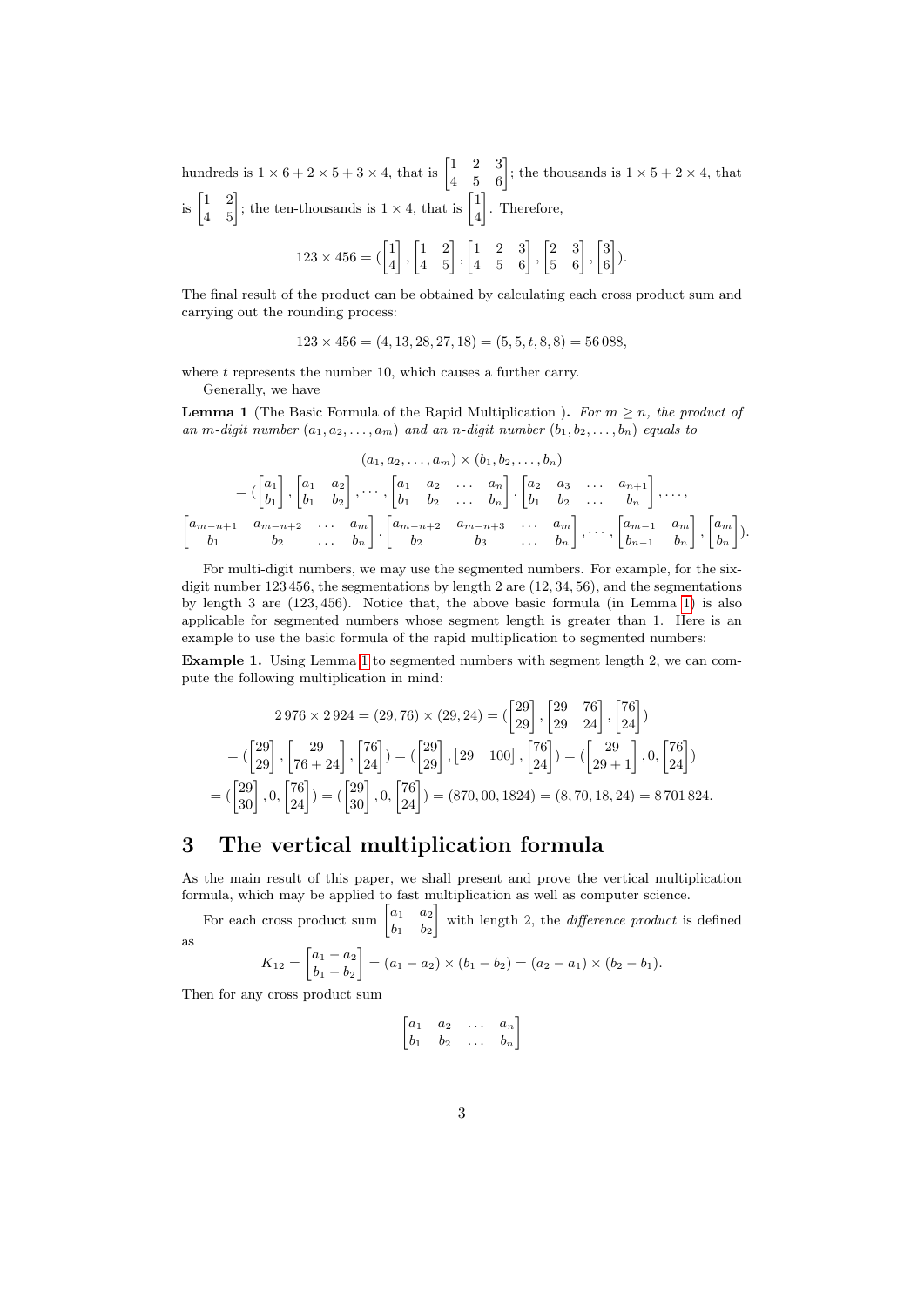hundreds is  $1 \times 6 + 2 \times 5 + 3 \times 4$ , that is  $\begin{bmatrix} 1 & 2 & 3 \\ 4 & 5 & 6 \end{bmatrix}$ ; the thousands is  $1 \times 5 + 2 \times 4$ , that is  $\begin{bmatrix} 1 & 2 \\ 4 & 5 \end{bmatrix}$ ; the ten-thousands is  $1 \times 4$ , that is  $\begin{bmatrix} 1 \\ 4 \end{bmatrix}$ 4 . Therefore,  $123 \times 456 = (\begin{bmatrix} 1 \\ 4 \end{bmatrix})$ 4  $\begin{bmatrix} 1 & 2 \ 4 & 5 \end{bmatrix}, \begin{bmatrix} 1 & 2 & 3 \ 4 & 5 & 6 \end{bmatrix}, \begin{bmatrix} 2 & 3 \ 5 & 6 \end{bmatrix}, \begin{bmatrix} 3 \ 6 \end{bmatrix}$ 6  $\big]$ ).

The final result of the product can be obtained by calculating each cross product sum and carrying out the rounding process:

 $123 \times 456 = (4, 13, 28, 27, 18) = (5, 5, t, 8, 8) = 56\,088$ 

where  $t$  represents the number 10, which causes a further carry.

Generally, we have

<span id="page-2-0"></span>**Lemma 1** (The Basic Formula of the Rapid Multiplication). For  $m > n$ , the product of an m-digit number  $(a_1, a_2, \ldots, a_m)$  and an n-digit number  $(b_1, b_2, \ldots, b_n)$  equals to

$$
(a_1, a_2, \ldots, a_m) \times (b_1, b_2, \ldots, b_n)
$$
  
=  $\begin{pmatrix} a_1 \\ b_1 \end{pmatrix}, \begin{bmatrix} a_1 & a_2 \\ b_1 & b_2 \end{bmatrix}, \cdots, \begin{bmatrix} a_1 & a_2 & \ldots & a_n \\ b_1 & b_2 & \ldots & b_n \end{bmatrix}, \begin{bmatrix} a_2 & a_3 & \ldots & a_{n+1} \\ b_1 & b_2 & \ldots & b_n \end{bmatrix}, \cdots, \begin{bmatrix} a_{m-n+1} & a_{m-n+2} & \ldots & a_m \\ b_1 & b_2 & \ldots & b_n \end{bmatrix}, \begin{bmatrix} a_{m-1} & a_m \\ b_2 & b_3 & \ldots & b_n \end{bmatrix}, \begin{bmatrix} a_m \\ b_{n-1} & b_n \end{bmatrix}, \begin{bmatrix} a_m \\ b_n \end{bmatrix}.$ 

For multi-digit numbers, we may use the segmented numbers. For example, for the sixdigit number 123 456, the segmentations by length 2 are (12, 34, 56), and the segmentations by length 3 are (123, 456). Notice that, the above basic formula (in Lemma [1\)](#page-2-0) is also applicable for segmented numbers whose segment length is greater than 1. Here is an example to use the basic formula of the rapid multiplication to segmented numbers:

Example 1. Using Lemma [1](#page-2-0) to segmented numbers with segment length 2, we can compute the following multiplication in mind:

$$
2976 \times 2924 = (29, 76) \times (29, 24) = \begin{pmatrix} 29 \\ 29 \end{pmatrix}, \begin{bmatrix} 29 & 76 \\ 29 & 24 \end{bmatrix}, \begin{bmatrix} 76 \\ 24 \end{bmatrix} \begin{pmatrix} 29 \\ 29 \end{pmatrix} = \begin{pmatrix} 29 \\ 29 \end{pmatrix}, \begin{bmatrix} 29 & 24 \end{bmatrix}, \begin{bmatrix} 29 \\ 24 \end{bmatrix} = \begin{pmatrix} 29 \\ 29 \end{pmatrix}, \begin{bmatrix} 76 \\ 24 \end{bmatrix} = \begin{pmatrix} 29 \\ 29 + 1 \end{pmatrix}, 0, \begin{bmatrix} 76 \\ 24 \end{bmatrix} \begin{pmatrix} 29 \\ 24 \end{pmatrix} = \begin{pmatrix} 29 \\ 30 \end{pmatrix}, 0, \begin{bmatrix} 76 \\ 24 \end{bmatrix} = \begin{pmatrix} 29 \\ 30 \end{pmatrix}, 0, \begin{bmatrix} 76 \\ 24 \end{bmatrix} = (870, 00, 1824) = (8, 70, 18, 24) = 8701824.
$$

#### 3 The vertical multiplication formula

As the main result of this paper, we shall present and prove the vertical multiplication formula, which may be applied to fast multiplication as well as computer science.

For each cross product sum  $\begin{bmatrix} a_1 & a_2 \\ b & b \end{bmatrix}$  $b_1$   $b_2$ with length 2, the *difference product* is defined as

$$
K_{12} = \begin{bmatrix} a_1 - a_2 \\ b_1 - b_2 \end{bmatrix} = (a_1 - a_2) \times (b_1 - b_2) = (a_2 - a_1) \times (b_2 - b_1).
$$

Then for any cross product sum

$$
\begin{bmatrix} a_1 & a_2 & \dots & a_n \\ b_1 & b_2 & \dots & b_n \end{bmatrix}
$$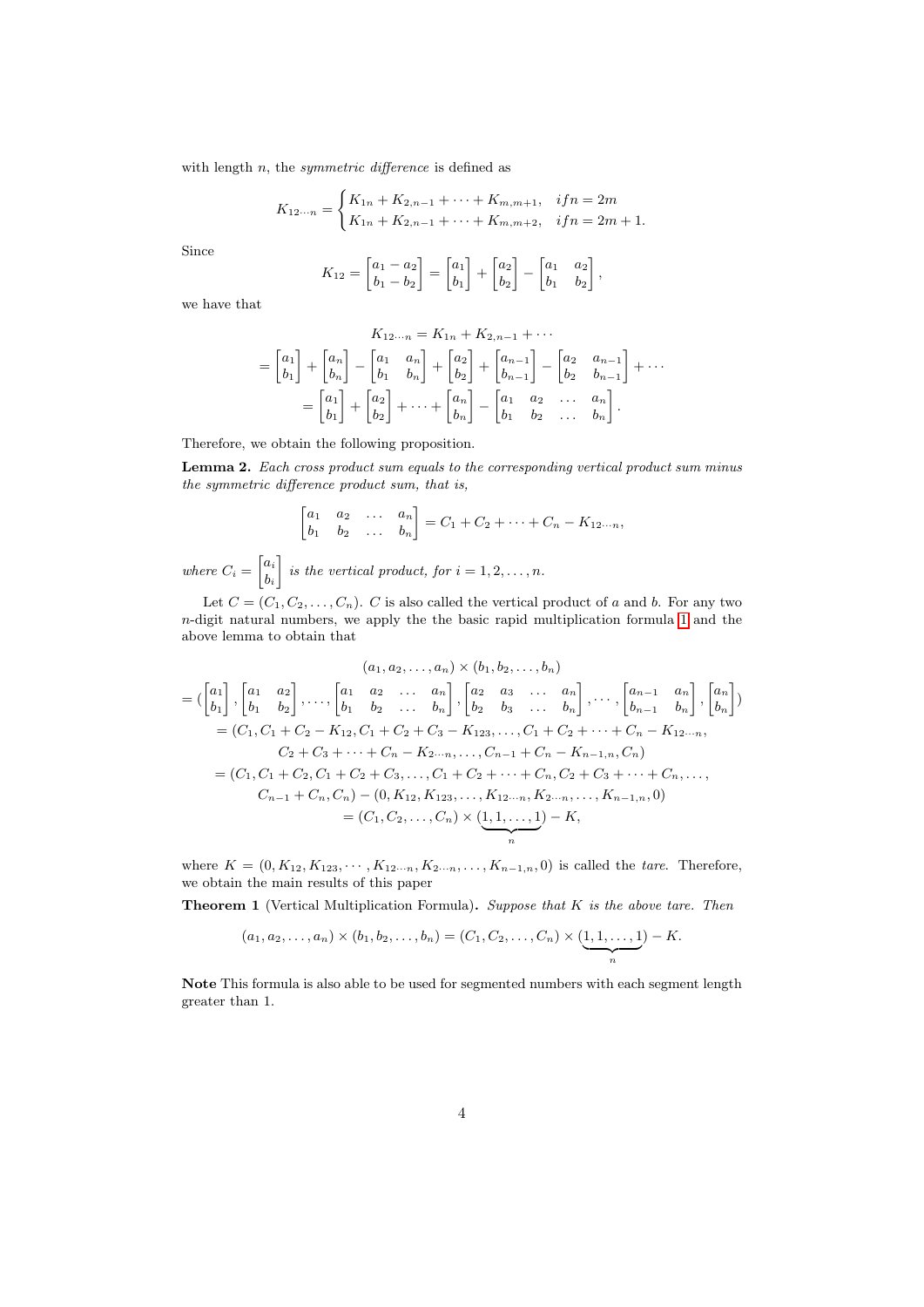with length  $n$ , the *symmetric difference* is defined as

$$
K_{12\cdots n} = \begin{cases} K_{1n} + K_{2,n-1} + \cdots + K_{m,m+1}, & if n = 2m \\ K_{1n} + K_{2,n-1} + \cdots + K_{m,m+2}, & if n = 2m+1. \end{cases}
$$

Since

$$
K_{12} = \begin{bmatrix} a_1 - a_2 \\ b_1 - b_2 \end{bmatrix} = \begin{bmatrix} a_1 \\ b_1 \end{bmatrix} + \begin{bmatrix} a_2 \\ b_2 \end{bmatrix} - \begin{bmatrix} a_1 & a_2 \\ b_1 & b_2 \end{bmatrix},
$$

we have that

$$
K_{12...n} = K_{1n} + K_{2,n-1} + \cdots
$$
  
=  $\begin{bmatrix} a_1 \\ b_1 \end{bmatrix} + \begin{bmatrix} a_n \\ b_n \end{bmatrix} - \begin{bmatrix} a_1 & a_n \\ b_1 & b_n \end{bmatrix} + \begin{bmatrix} a_2 \\ b_2 \end{bmatrix} + \begin{bmatrix} a_{n-1} \\ b_{n-1} \end{bmatrix} - \begin{bmatrix} a_2 & a_{n-1} \\ b_2 & b_{n-1} \end{bmatrix} + \cdots$   
=  $\begin{bmatrix} a_1 \\ b_1 \end{bmatrix} + \begin{bmatrix} a_2 \\ b_2 \end{bmatrix} + \cdots + \begin{bmatrix} a_n \\ b_n \end{bmatrix} - \begin{bmatrix} a_1 & a_2 & \cdots & a_n \\ b_1 & b_2 & \cdots & b_n \end{bmatrix}.$ 

Therefore, we obtain the following proposition.

Lemma 2. Each cross product sum equals to the corresponding vertical product sum minus the symmetric difference product sum, that is,

$$
\begin{bmatrix} a_1 & a_2 & \dots & a_n \\ b_1 & b_2 & \dots & b_n \end{bmatrix} = C_1 + C_2 + \dots + C_n - K_{12 \cdots n},
$$

where  $C_i = \begin{bmatrix} a_i \\ b_i \end{bmatrix}$  $b_i$ is the vertical product, for  $i = 1, 2, \ldots, n$ .

Let  $C = (C_1, C_2, \ldots, C_n)$ . C is also called the vertical product of a and b. For any two n-digit natural numbers, we apply the the basic rapid multiplication formula [1](#page-2-0) and the above lemma to obtain that

$$
(a_1, a_2, ..., a_n) \times (b_1, b_2, ..., b_n)
$$
  
=  $\begin{pmatrix} a_1 \\ b_1 \end{pmatrix}, \begin{bmatrix} a_1 & a_2 \\ b_1 & b_2 \end{bmatrix}, \dots, \begin{bmatrix} a_1 & a_2 & \dots & a_n \\ b_1 & b_2 & \dots & b_n \end{bmatrix}, \begin{bmatrix} a_2 & a_3 & \dots & a_n \\ b_2 & b_3 & \dots & b_n \end{bmatrix}, \dots, \begin{bmatrix} a_{n-1} & a_n \\ b_{n-1} & b_n \end{bmatrix}, \begin{bmatrix} a_n \\ b_n \end{bmatrix})$   
=  $(C_1, C_1 + C_2 - K_{12}, C_1 + C_2 + C_3 - K_{123}, \dots, C_1 + C_2 + \dots + C_n - K_{12} \dots n, C_2 + C_3 + \dots + C_n, C_2 + C_3 + \dots + C_n, C_1 + C_2 + C_3, \dots, C_1 + C_2 + \dots + C_n, C_2 + C_3 + \dots + C_n, \dots, C_{n-1} + C_n, C_n) - (0, K_{12}, K_{123}, \dots, K_{12} \dots n, K_{2} \dots n, \dots, K_{n-1,n}, 0)$   
=  $(C_1, C_2, \dots, C_n) \times (1, 1, \dots, 1) - K,$ 

where  $K = (0, K_{12}, K_{123}, \cdots, K_{12\cdots n}, K_{2\cdots n}, \ldots, K_{n-1,n}, 0)$  is called the *tare*. Therefore, we obtain the main results of this paper

**Theorem 1** (Vertical Multiplication Formula). Suppose that  $K$  is the above tare. Then

$$
(a_1, a_2,..., a_n) \times (b_1, b_2,..., b_n) = (C_1, C_2,..., C_n) \times (\underbrace{1, 1,..., 1}_{n}) - K.
$$

Note This formula is also able to be used for segmented numbers with each segment length greater than 1.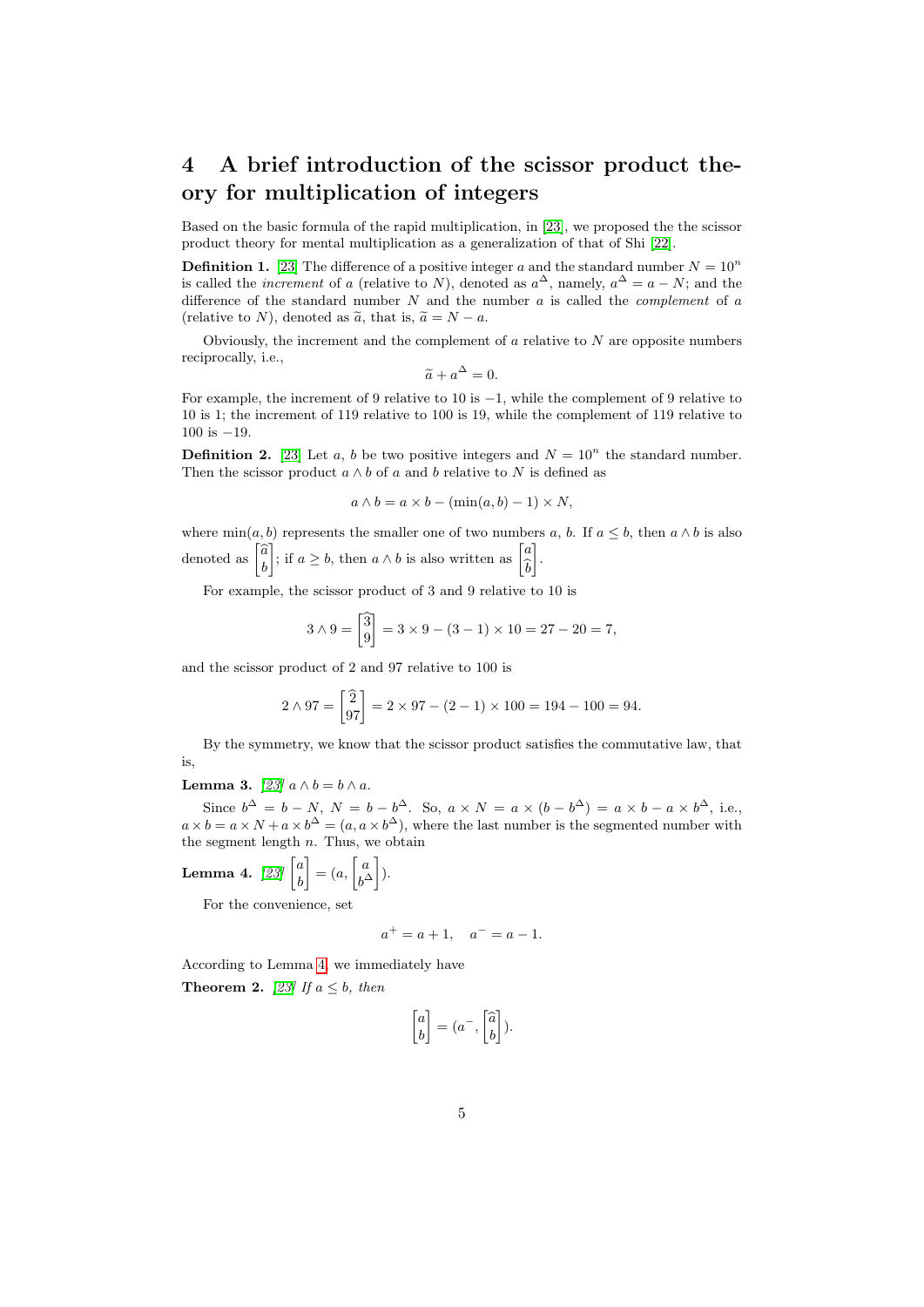### 4 A brief introduction of the scissor product theory for multiplication of integers

Based on the basic formula of the rapid multiplication, in [\[23\]](#page-14-3), we proposed the the scissor product theory for mental multiplication as a generalization of that of Shi [\[22\]](#page-14-2).

**Definition 1.** [\[23\]](#page-14-3) The difference of a positive integer a and the standard number  $N = 10^n$ is called the *increment* of a (relative to N), denoted as  $a^{\Delta}$ , namely,  $a^{\Delta} = a - N$ ; and the difference of the standard number  $N$  and the number  $a$  is called the *complement* of  $a$ (relative to N), denoted as  $\tilde{a}$ , that is,  $\tilde{a} = N - a$ .

Obviously, the increment and the complement of  $a$  relative to  $N$  are opposite numbers reciprocally, i.e.,

$$
\widetilde{a} + a^{\Delta} = 0.
$$

For example, the increment of 9 relative to 10 is −1, while the complement of 9 relative to 10 is 1; the increment of 119 relative to 100 is 19, while the complement of 119 relative to 100 is −19.

**Definition 2.** [\[23\]](#page-14-3) Let a, b be two positive integers and  $N = 10^n$  the standard number. Then the scissor product  $a \wedge b$  of a and b relative to N is defined as

$$
a \wedge b = a \times b - (\min(a, b) - 1) \times N,
$$

where  $min(a, b)$  represents the smaller one of two numbers a, b. If  $a \leq b$ , then  $a \wedge b$  is also denoted as  $\begin{bmatrix} \widehat{a} \\ b \end{bmatrix}$ ; if  $a \geq b$ , then  $a \wedge b$  is also written as  $\begin{bmatrix} a \\ \hat{c} \end{bmatrix}$  $\overline{b}$ .

For example, the scissor product of 3 and 9 relative to 10 is

$$
3 \wedge 9 = \begin{bmatrix} 3 \\ 9 \end{bmatrix} = 3 \times 9 - (3 - 1) \times 10 = 27 - 20 = 7,
$$

and the scissor product of 2 and 97 relative to 100 is

$$
2 \wedge 97 = \begin{bmatrix} 2 \\ 97 \end{bmatrix} = 2 \times 97 - (2 - 1) \times 100 = 194 - 100 = 94.
$$

By the symmetry, we know that the scissor product satisfies the commutative law, that is,

Lemma 3.  $[23]$   $a \wedge b = b \wedge a$ .

Since  $b^{\Delta} = b - N$ ,  $N = b - b^{\Delta}$ . So,  $a \times N = a \times (b - b^{\Delta}) = a \times b - a \times b^{\Delta}$ , i.e.,  $a \times b = a \times N + a \times b^{\Delta} = (a, a \times b^{\Delta})$ , where the last number is the segmented number with the segment length  $n$ . Thus, we obtain

<span id="page-4-0"></span>Lemma 4. [\[23\]](#page-14-3)  $\begin{bmatrix} a & b \\ a & d \end{bmatrix}$ b  $\Big] = (a, \Big[ \begin{matrix} a \\ b \end{matrix} \Big]$  $\begin{bmatrix} a \\ b^{\Delta} \end{bmatrix}$ ).

For the convenience, set

$$
a^+ = a + 1, \quad a^- = a - 1.
$$

According to Lemma [4,](#page-4-0) we immediately have

**Theorem 2.** [\[23\]](#page-14-3) If  $a \leq b$ , then

$$
\begin{bmatrix} a \\ b \end{bmatrix} = (a^-, \begin{bmatrix} \widehat{a} \\ b \end{bmatrix}).
$$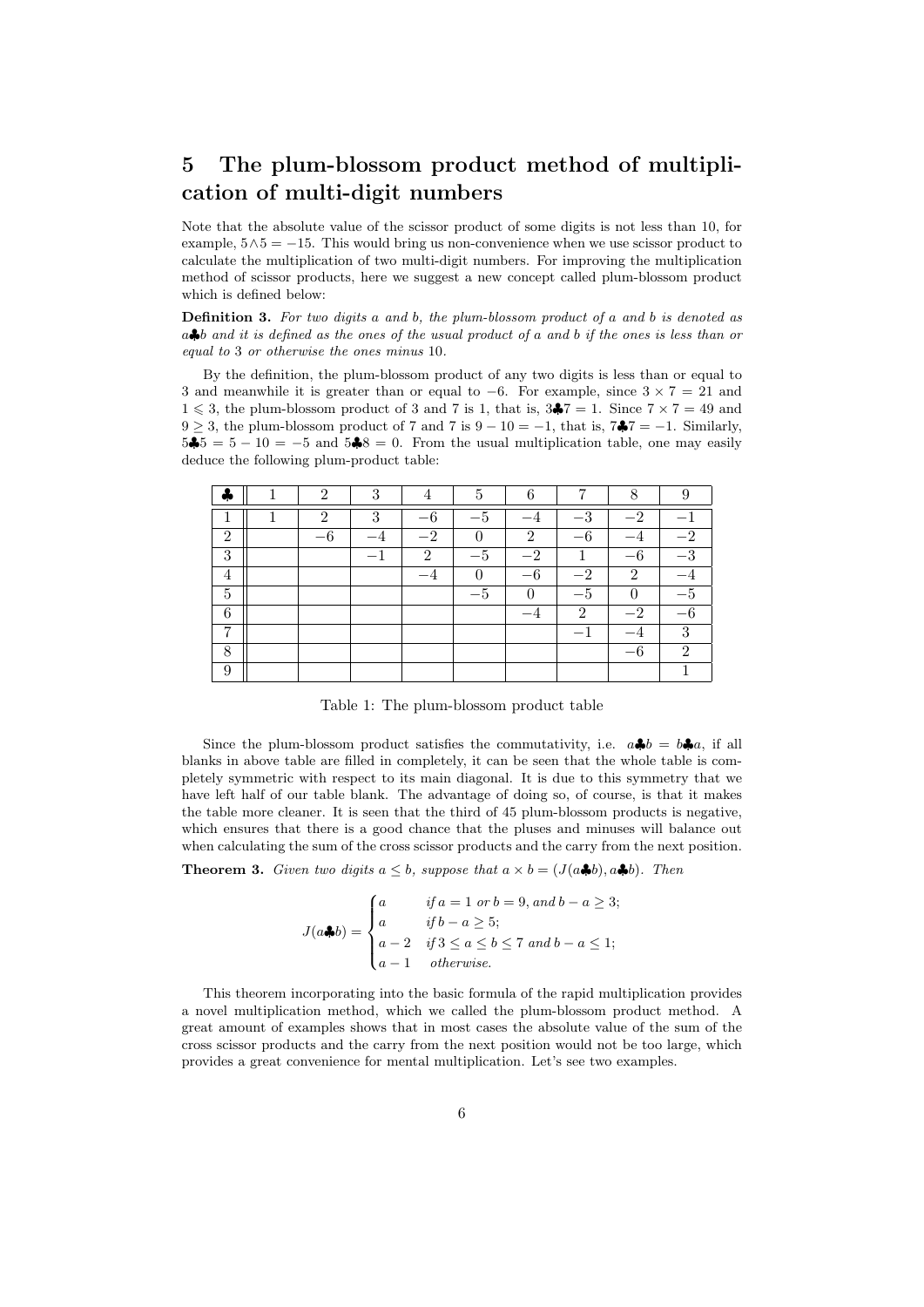# 5 The plum-blossom product method of multiplication of multi-digit numbers

Note that the absolute value of the scissor product of some digits is not less than 10, for example,  $5\land 5 = -15$ . This would bring us non-convenience when we use scissor product to calculate the multiplication of two multi-digit numbers. For improving the multiplication method of scissor products, here we suggest a new concept called plum-blossom product which is defined below:

Definition 3. For two digits a and b, the plum-blossom product of a and b is denoted as  $a \clubsuit b$  and it is defined as the ones of the usual product of a and b if the ones is less than or equal to 3 or otherwise the ones minus 10.

By the definition, the plum-blossom product of any two digits is less than or equal to 3 and meanwhile it is greater than or equal to  $-6$ . For example, since  $3 \times 7 = 21$  and  $1 \leqslant 3$ , the plum-blossom product of 3 and 7 is 1, that is,  $3\clubsuit 7 = 1$ . Since  $7 \times 7 = 49$  and  $9 \geq 3$ , the plum-blossom product of 7 and 7 is  $9 - 10 = -1$ , that is,  $7\frac{2}{7} = -1$ . Similarly,  $5\clubsuit 5 = 5 - 10 = -5$  and  $5\clubsuit 8 = 0$ . From the usual multiplication table, one may easily deduce the following plum-product table:

|                | $\mathcal{D}$  | റ |               |          |               |                  | Ω                           |                  |
|----------------|----------------|---|---------------|----------|---------------|------------------|-----------------------------|------------------|
|                | $\mathfrak{D}$ | 3 | $-6$          | $-5$     |               | $-$ <sup>2</sup> | $-2$                        |                  |
| $\overline{2}$ | $-6$           |   | $-2$          | $\Omega$ | $\mathcal{D}$ | $-6$             |                             | $-2$             |
| 3              |                |   | $\mathcal{D}$ | $-5$     | $-2$          | $\mathbf{1}$     | $6 \,$                      | $-$ <sup>2</sup> |
| 4              |                |   |               | $\Omega$ | $-6$          | $-2$             | $\mathcal{D}_{\mathcal{L}}$ |                  |
| 5              |                |   |               | $-5$     | $\Omega$      | $-5$             | $\Omega$                    |                  |
| 6              |                |   |               |          |               | $\overline{2}$   | $-2$                        |                  |
| $\overline{ }$ |                |   |               |          |               |                  |                             | $\Omega$         |
| $\circ$        |                |   |               |          |               |                  | $\epsilon$                  | $\Omega$         |
| 9              |                |   |               |          |               |                  |                             |                  |

Table 1: The plum-blossom product table

Since the plum-blossom product satisfies the commutativity, i.e.  $a\clubsuit b = b\clubsuit a$ , if all blanks in above table are filled in completely, it can be seen that the whole table is completely symmetric with respect to its main diagonal. It is due to this symmetry that we have left half of our table blank. The advantage of doing so, of course, is that it makes the table more cleaner. It is seen that the third of 45 plum-blossom products is negative, which ensures that there is a good chance that the pluses and minuses will balance out when calculating the sum of the cross scissor products and the carry from the next position.

**Theorem 3.** Given two digits  $a \leq b$ , suppose that  $a \times b = (J(a\clubsuit b), a\clubsuit b)$ . Then

$$
J(a\clubsuit b) = \begin{cases} a & \text{if } a = 1 \text{ or } b = 9, \text{ and } b - a \ge 3; \\ a & \text{if } b - a \ge 5; \\ a - 2 & \text{if } 3 \le a \le b \le 7 \text{ and } b - a \le 1; \\ a - 1 & \text{otherwise.} \end{cases}
$$

This theorem incorporating into the basic formula of the rapid multiplication provides a novel multiplication method, which we called the plum-blossom product method. A great amount of examples shows that in most cases the absolute value of the sum of the cross scissor products and the carry from the next position would not be too large, which provides a great convenience for mental multiplication. Let's see two examples.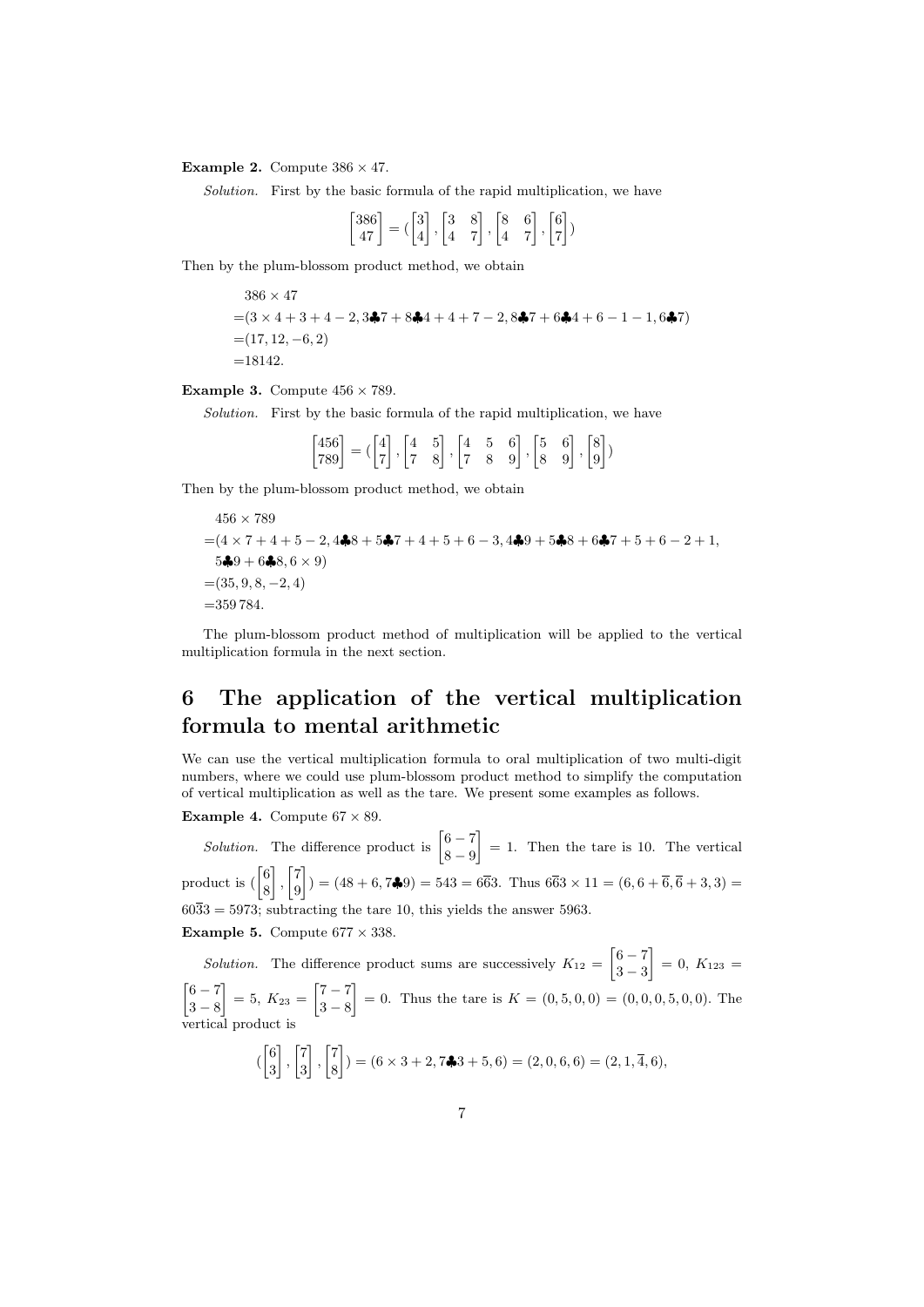**Example 2.** Compute  $386 \times 47$ .

Solution. First by the basic formula of the rapid multiplication, we have

$$
\begin{bmatrix} 386 \\ 47 \end{bmatrix} = \begin{bmatrix} 3 \\ 4 \end{bmatrix}, \begin{bmatrix} 3 & 8 \\ 4 & 7 \end{bmatrix}, \begin{bmatrix} 8 & 6 \\ 4 & 7 \end{bmatrix}, \begin{bmatrix} 6 \\ 7 \end{bmatrix}
$$

Then by the plum-blossom product method, we obtain

$$
386 \times 47
$$
  
=  $(3 \times 4 + 3 + 4 - 2, 3\clubsuit 7 + 8\clubsuit 4 + 4 + 7 - 2, 8\clubsuit 7 + 6\clubsuit 4 + 6 - 1 - 1, 6\clubsuit 7)$   
=  $(17, 12, -6, 2)$   
= 18142.

**Example 3.** Compute  $456 \times 789$ .

Solution. First by the basic formula of the rapid multiplication, we have

 $\begin{bmatrix} 456 \\ 789 \end{bmatrix} = \begin{bmatrix} 4 \\ 7 \end{bmatrix}$ 7  $\begin{bmatrix} 4 & 5 \ 7 & 8 \end{bmatrix}, \begin{bmatrix} 4 & 5 & 6 \ 7 & 8 & 9 \end{bmatrix}, \begin{bmatrix} 5 & 6 \ 8 & 9 \end{bmatrix}, \begin{bmatrix} 8 \ 9 \end{bmatrix}$ 9 )

Then by the plum-blossom product method, we obtain

$$
456 \times 789
$$
  
=  $(4 \times 7 + 4 + 5 - 2, 4\clubsuit 8 + 5\clubsuit 7 + 4 + 5 + 6 - 3, 4\clubsuit 9 + 5\clubsuit 8 + 6\clubsuit 7 + 5 + 6 - 2 + 1,$   
 $5\clubsuit 9 + 6\clubsuit 8, 6 \times 9$ )  
=  $(35, 9, 8, -2, 4)$   
=  $359\,784.$ 

The plum-blossom product method of multiplication will be applied to the vertical multiplication formula in the next section.

## 6 The application of the vertical multiplication formula to mental arithmetic

We can use the vertical multiplication formula to oral multiplication of two multi-digit numbers, where we could use plum-blossom product method to simplify the computation of vertical multiplication as well as the tare. We present some examples as follows.

Example 4. Compute  $67 \times 89$ .

*Solution*. The difference product is  $\begin{bmatrix} 6 & -7 \\ 0 & 0 \end{bmatrix}$ 8 − 9  $\Big] = 1.$  Then the tare is 10. The vertical product is  $\begin{bmatrix} 6 \\ 8 \end{bmatrix}$ 8  $\Big]$ ,  $\Big[ \frac{7}{9}$ 9  $\left[\right] = (48 + 6, 7\clubsuit 9) = 543 = 6\overline{6}3.$  Thus  $6\overline{6}3 \times 11 = (6, 6 + \overline{6}, \overline{6} + 3, 3) =$  $60\overline{3}3 = 5973$ ; subtracting the tare 10, this yields the answer 5963. Example 5. Compute  $677 \times 338$ .

*Solution*. The difference product sums are successively  $K_{12} = \begin{bmatrix} 6 & -7 \\ 2 & 2 \end{bmatrix}$ 3 − 3  $\Big] = 0, K_{123} =$  $\lceil 6 - 7 \rceil$ 3 − 8  $\Big] = 5, K_{23} = \Big[ \begin{matrix} 7 & -7 \\ 2 & 8 \end{matrix} \Big]$ 3 − 8  $\Big] = 0.$  Thus the tare is  $K = (0, 5, 0, 0) = (0, 0, 0, 5, 0, 0).$  The vertical product is  $\begin{bmatrix} 6 \\ 2 \end{bmatrix}$ 3  $\begin{bmatrix} 1 \\ 2 \end{bmatrix}$ 3  $\Big]$ ,  $\Big[ \frac{7}{3}$ 8  $\begin{cases} \end{cases}$ ) =  $(6 \times 3 + 2, 7 \clubsuit 3 + 5, 6) = (2, 0, 6, 6) = (2, 1, 4, 6),$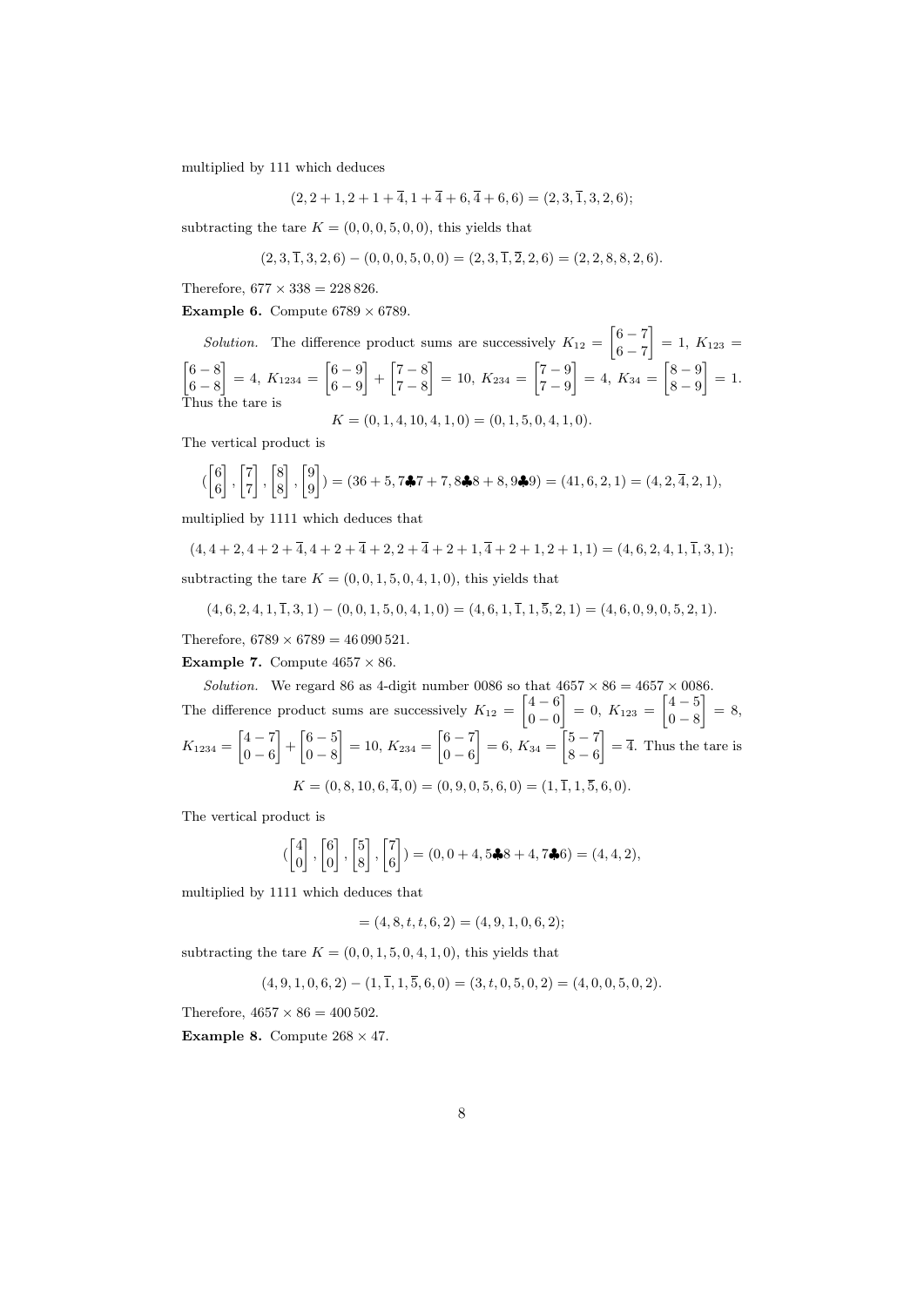multiplied by 111 which deduces

$$
(2,2+1,2+1+\overline{4},1+\overline{4}+6,\overline{4}+6,6) = (2,3,\overline{1},3,2,6);
$$

subtracting the tare  $K = (0, 0, 0, 5, 0, 0)$ , this yields that

$$
(2,3,\overline{1},3,2,6) - (0,0,0,5,0,0) = (2,3,\overline{1},\overline{2},2,6) = (2,2,8,8,2,6).
$$

Therefore,  $677 \times 338 = 228826$ .

Example 6. Compute  $6789 \times 6789$ .

*Solution*. The difference product sums are successively  $K_{12} = \begin{bmatrix} 6 & -7 \\ 6 & 7 \end{bmatrix}$  $6 - 7$  $\left[ \right] = 1, K_{123} =$  $\lceil 6 - 8 \rceil$  $6 - 8$  $\Big] = 4, K_{1234} = \begin{bmatrix} 6 & -9 \\ 6 & 0 \end{bmatrix}$ 6 − 9  $\left] + \left[ \frac{7}{7} - \frac{8}{9} \right]$  $7 - 8$  $\Big] = 10, K_{234} = \Big[ \begin{matrix} 7 & -9 \\ 7 & 0 \end{matrix} \Big]$  $7 - 9$  $\Big] = 4, K_{34} = \Big[ \begin{matrix} 8 & -9 \\ 8 & 0 \end{matrix} \Big]$ 8 − 9  $= 1.$ Thus the tare is  $K = (0, 1, 4, 10, 4, 1, 0) = (0, 1, 5, 0, 4, 1, 0).$ 

The vertical product is

$$
(\begin{bmatrix} 6\\6 \end{bmatrix}, \begin{bmatrix} 7\\7 \end{bmatrix}, \begin{bmatrix} 8\\8 \end{bmatrix}, \begin{bmatrix} 9\\9 \end{bmatrix}) = (36+5, 7\clubsuit7+7, 8\clubsuit8+8, 9\clubsuit9) = (41, 6, 2, 1) = (4, 2, 4, 2, 1),
$$

multiplied by 1111 which deduces that

$$
(4,4+2,4+2+\overline{4},4+2+\overline{4}+2,2+\overline{4}+2+1,\overline{4}+2+1,2+1,1) = (4,6,2,4,1,\overline{1},3,1);
$$
subtracting the tare  $K = (0,0,1,5,0,4,1,0)$ , this yields that

$$
(4,6,2,4,1,\overline{1},3,1) - (0,0,1,5,0,4,1,0) = (4,6,1,\overline{1},1,\overline{5},2,1) = (4,6,0,9,0,5,2,1).
$$

Therefore,  $6789 \times 6789 = 46090521$ .

**Example 7.** Compute  $4657 \times 86$ .

Solution. We regard 86 as 4-digit number 0086 so that  $4657 \times 86 = 4657 \times 0086$ . The difference product sums are successively  $K_{12} = \begin{bmatrix} 4 & -6 \\ 0 & 0 \end{bmatrix}$  $0 - 0$  $\Big] = 0, K_{123} = \begin{bmatrix} 4 & -5 \\ 0 & 8 \end{bmatrix}$  $0 - 8$  $\Big] = 8,$  $K_{1234} = \begin{bmatrix} 4 & -7 \\ 0 & 6 \end{bmatrix}$  $0 - 6$  $-\left[6 - \frac{5}{8}\right]$  $0 - 8$  $\Big] = 10, K_{234} = \begin{bmatrix} 6 & -7 \\ 0 & 6 \end{bmatrix}$  $0 - 6$  $\Big] = 6, K_{34} = \Big[ \begin{matrix} 5 & -7 \\ 8 & 6 \end{matrix} \Big]$  $8 - 6$  $\left[\right]=\overline{4}$ . Thus the tare is  $K = (0, 8, 10, 6, \overline{4}, 0) = (0, 9, 0, 5, 6, 0) = (1, \overline{1}, 1, \overline{5}, 6, 0).$ 

The vertical product is

$$
\begin{pmatrix} 4 \\ 0 \end{pmatrix}, \begin{bmatrix} 6 \\ 0 \end{bmatrix}, \begin{bmatrix} 5 \\ 8 \end{bmatrix}, \begin{bmatrix} 7 \\ 6 \end{bmatrix} \end{pmatrix} = (0, 0 + 4, 5\clubsuit 8 + 4, 7\clubsuit 6) = (4, 4, 2),
$$

multiplied by 1111 which deduces that

$$
= (4, 8, t, t, 6, 2) = (4, 9, 1, 0, 6, 2);
$$

subtracting the tare  $K = (0, 0, 1, 5, 0, 4, 1, 0)$ , this yields that

$$
(4,9,1,0,6,2) - (1,\overline{1},1,\overline{5},6,0) = (3,t,0,5,0,2) = (4,0,0,5,0,2).
$$

Therefore,  $4657 \times 86 = 400502$ .

**Example 8.** Compute  $268 \times 47$ .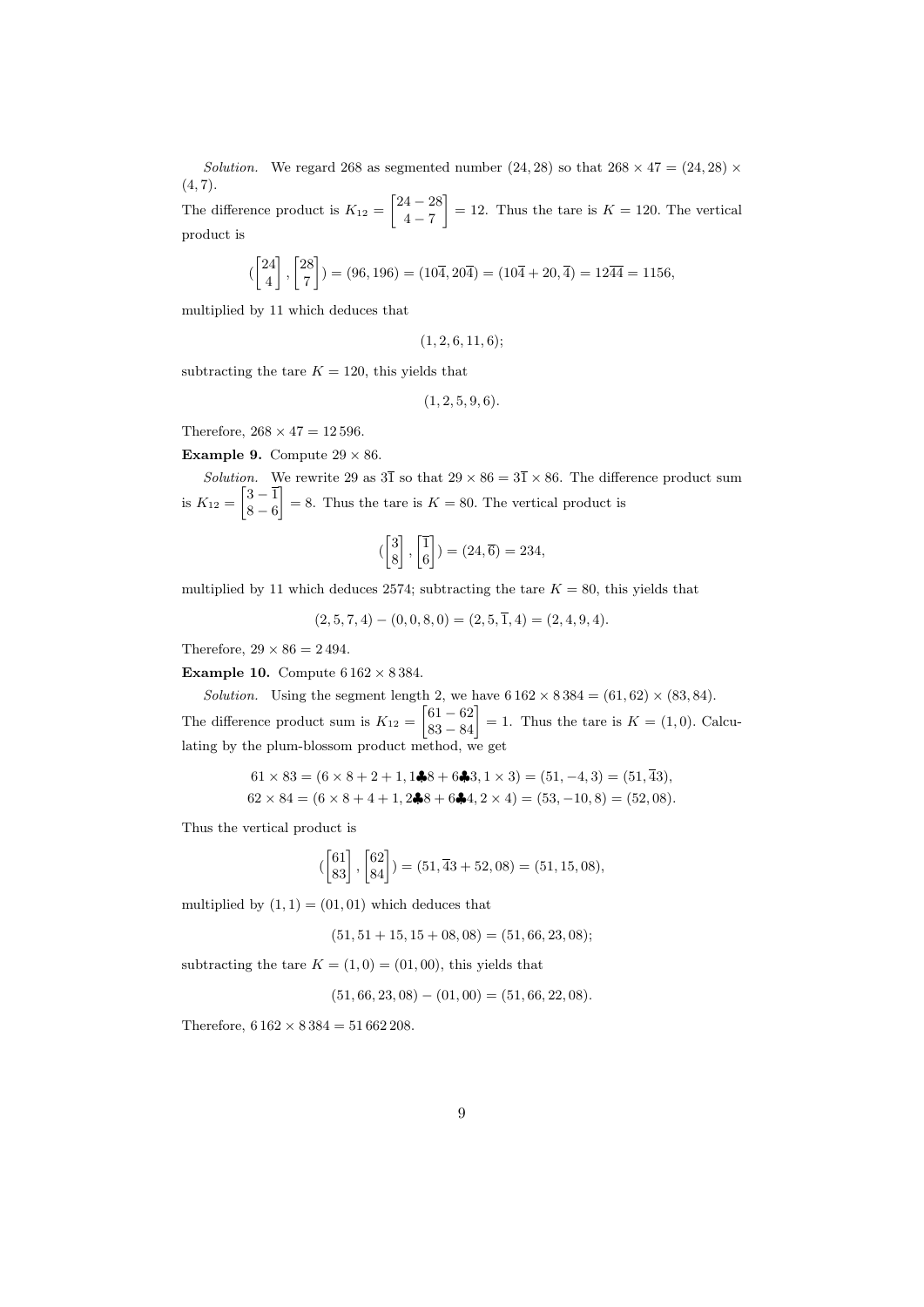Solution. We regard 268 as segmented number (24, 28) so that  $268 \times 47 = (24, 28) \times$  $(4, 7).$ 

The difference product is  $K_{12} = \begin{bmatrix} 24 & -28 \\ 4 & 7 \end{bmatrix}$  $4 - 7$  $= 12$ . Thus the tare is  $K = 120$ . The vertical product is

$$
\begin{pmatrix} 24 \\ 4 \end{pmatrix}, \begin{bmatrix} 28 \\ 7 \end{bmatrix} = (96, 196) = (10\overline{4}, 20\overline{4}) = (10\overline{4} + 20, \overline{4}) = 12\overline{44} = 1156,
$$

multiplied by 11 which deduces that

(1, 2, 6, 11, 6);

subtracting the tare  $K = 120$ , this yields that

$$
(1, 2, 5, 9, 6).
$$

Therefore,  $268 \times 47 = 12\,596$ .

**Example 9.** Compute  $29 \times 86$ .

Solution. We rewrite 29 as  $3\overline{1}$  so that  $29 \times 86 = 3\overline{1} \times 86$ . The difference product sum is  $K_{12} = \begin{bmatrix} 3 & -1 \\ 8 & a \end{bmatrix}$  $8 - 6$  $= 8$ . Thus the tare is  $K = 80$ . The vertical product is

$$
\left(\begin{bmatrix} 3\\8 \end{bmatrix}, \begin{bmatrix} 1\\6 \end{bmatrix}\right) = (24, \overline{6}) = 234,
$$

multiplied by 11 which deduces 2574; subtracting the tare  $K = 80$ , this yields that

$$
(2,5,7,4) - (0,0,8,0) = (2,5,\overline{1},4) = (2,4,9,4).
$$

Therefore,  $29 \times 86 = 2494$ .

**Example 10.** Compute  $6162 \times 8384$ .

Solution. Using the segment length 2, we have  $6162 \times 8384 = (61, 62) \times (83, 84)$ . The difference product sum is  $K_{12} = \begin{bmatrix} 61 - 62 \\ 83 - 84 \end{bmatrix} = 1$ . Thus the tare is  $K = (1, 0)$ . Calculating by the plum-blossom product method, we get

$$
61 \times 83 = (6 \times 8 + 2 + 1, 1\clubsuit 8 + 6\clubsuit 3, 1 \times 3) = (51, -4, 3) = (51, \overline{43}),
$$
  

$$
62 \times 84 = (6 \times 8 + 4 + 1, 2\clubsuit 8 + 6\clubsuit 4, 2 \times 4) = (53, -10, 8) = (52, 08).
$$

Thus the vertical product is

$$
\begin{pmatrix} 61 \\ 83 \end{pmatrix}, \begin{bmatrix} 62 \\ 84 \end{bmatrix} = (51, \overline{4}3 + 52, 08) = (51, 15, 08),
$$

multiplied by  $(1, 1) = (01, 01)$  which deduces that

$$
(51, 51 + 15, 15 + 08, 08) = (51, 66, 23, 08);
$$

subtracting the tare  $K = (1, 0) = (01, 00)$ , this yields that

 $(51, 66, 23, 08) - (01, 00) = (51, 66, 22, 08).$ 

Therefore,  $6162 \times 8384 = 51662208$ .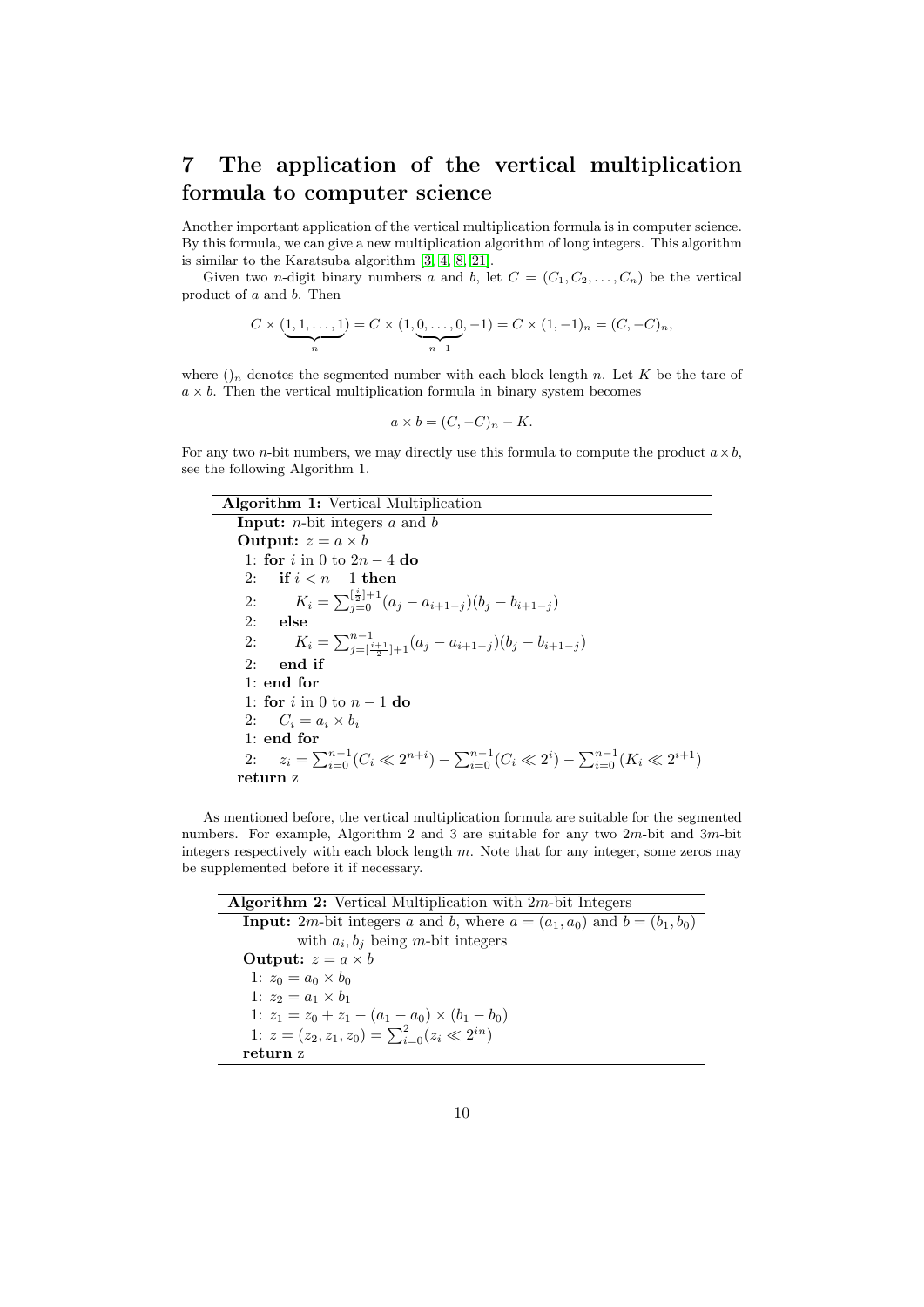# 7 The application of the vertical multiplication formula to computer science

Another important application of the vertical multiplication formula is in computer science. By this formula, we can give a new multiplication algorithm of long integers. This algorithm is similar to the Karatsuba algorithm [\[3,](#page-13-6) [4,](#page-13-10) [8,](#page-13-11) [21\]](#page-14-1).

Given two *n*-digit binary numbers a and b, let  $C = (C_1, C_2, \ldots, C_n)$  be the vertical product of a and b. Then

$$
C \times (\underbrace{1, 1, \dots, 1}_{n}) = C \times (1, \underbrace{0, \dots, 0}_{n-1}, -1) = C \times (1, -1)_{n} = (C, -C)_{n},
$$

where  $\bigcap_n$  denotes the segmented number with each block length n. Let K be the tare of  $a \times b$ . Then the vertical multiplication formula in binary system becomes

$$
a \times b = (C, -C)_n - K.
$$

For any two *n*-bit numbers, we may directly use this formula to compute the product  $a \times b$ , see the following Algorithm 1.

| <b>Algorithm 1:</b> Vertical Multiplication                                                                         |  |  |  |  |  |  |
|---------------------------------------------------------------------------------------------------------------------|--|--|--|--|--|--|
| <b>Input:</b> <i>n</i> -bit integers $a$ and $b$                                                                    |  |  |  |  |  |  |
| <b>Output:</b> $z = a \times b$                                                                                     |  |  |  |  |  |  |
| 1: for i in 0 to $2n - 4$ do                                                                                        |  |  |  |  |  |  |
| 2: if $i < n-1$ then                                                                                                |  |  |  |  |  |  |
| $K_i = \sum_{i=0}^{\left[\frac{i}{2}\right]+1} (a_i - a_{i+1-j})(b_j - b_{i+1-j})$<br>2:                            |  |  |  |  |  |  |
| 2:<br>else                                                                                                          |  |  |  |  |  |  |
| $K_i = \sum_{j=\lceil \frac{i+1}{2} \rceil+1}^{n-1} (a_j - a_{i+1-j})(b_j - b_{i+1-j})$<br>2:                       |  |  |  |  |  |  |
| 2:<br>end if                                                                                                        |  |  |  |  |  |  |
| $1:$ end for                                                                                                        |  |  |  |  |  |  |
| 1: for i in 0 to $n-1$ do                                                                                           |  |  |  |  |  |  |
| 2: $C_i = a_i \times b_i$                                                                                           |  |  |  |  |  |  |
| $1:$ end for                                                                                                        |  |  |  |  |  |  |
| 2: $z_i = \sum_{i=0}^{n-1} (C_i \ll 2^{n+i}) - \sum_{i=0}^{n-1} (C_i \ll 2^i) - \sum_{i=0}^{n-1} (K_i \ll 2^{i+1})$ |  |  |  |  |  |  |
| return z                                                                                                            |  |  |  |  |  |  |

As mentioned before, the vertical multiplication formula are suitable for the segmented numbers. For example, Algorithm 2 and 3 are suitable for any two 2m-bit and 3m-bit integers respectively with each block length m. Note that for any integer, some zeros may be supplemented before it if necessary.

Algorithm 2: Vertical Multiplication with 2m-bit Integers **Input:** 2*m*-bit integers *a* and *b*, where  $a = (a_1, a_0)$  and  $b = (b_1, b_0)$ with  $a_i, b_j$  being m-bit integers Output:  $z = a \times b$ 1:  $z_0 = a_0 \times b_0$ 1:  $z_2 = a_1 \times b_1$ 1:  $z_1 = z_0 + z_1 - (a_1 - a_0) \times (b_1 - b_0)$ 1:  $z = (z_2, z_1, z_0) = \sum_{i=0}^{2} (z_i \ll 2^{in})$ return z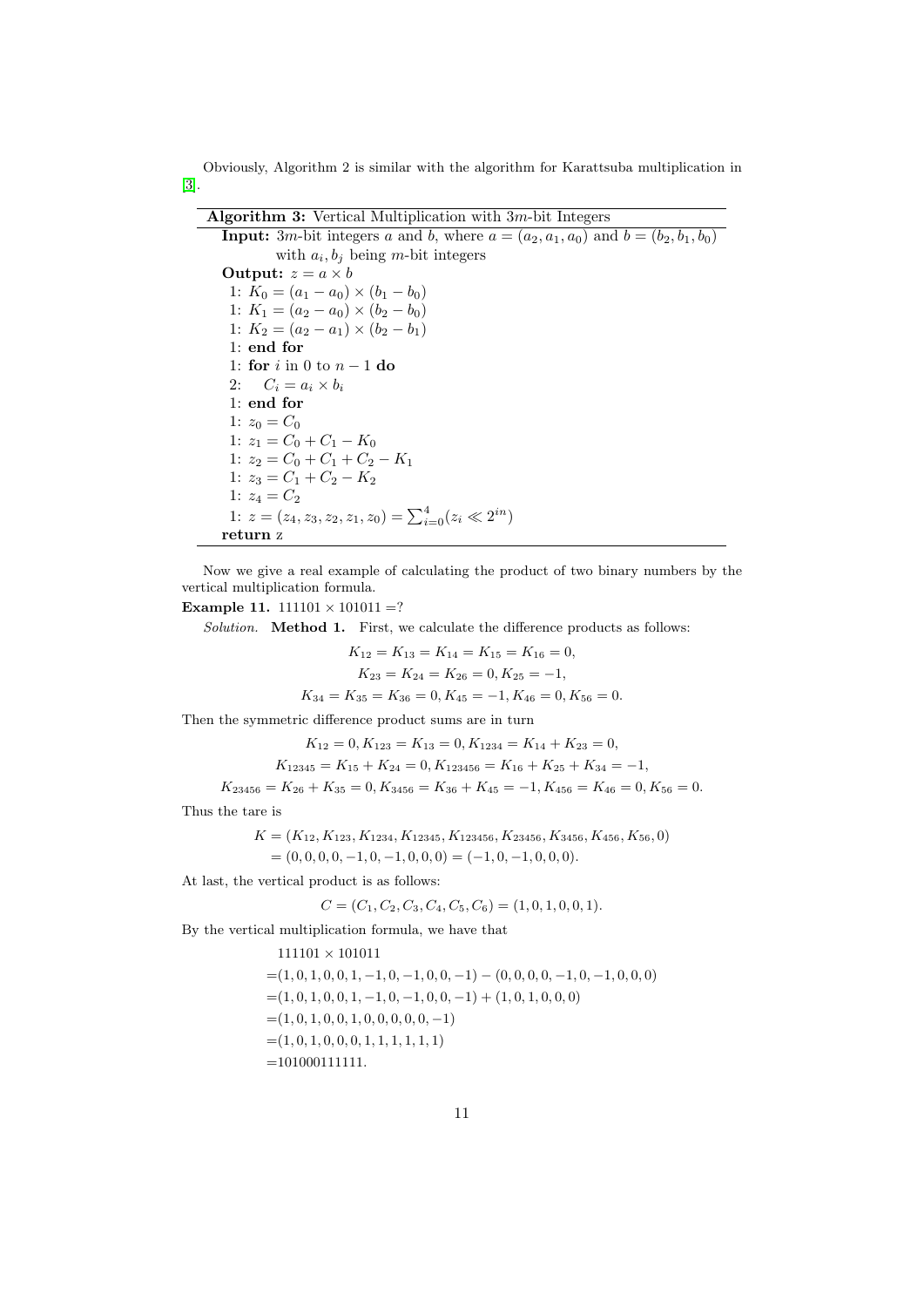Obviously, Algorithm 2 is similar with the algorithm for Karattsuba multiplication in [\[3\]](#page-13-6).

| <b>Algorithm 3:</b> Vertical Multiplication with $3m$ -bit Integers                                                  |  |  |  |  |  |
|----------------------------------------------------------------------------------------------------------------------|--|--|--|--|--|
| <b>Input:</b> 3 <i>m</i> -bit integers <i>a</i> and <i>b</i> , where $a = (a_2, a_1, a_0)$ and $b = (b_2, b_1, b_0)$ |  |  |  |  |  |
| with $a_i, b_i$ being m-bit integers                                                                                 |  |  |  |  |  |
| Output: $z = a \times b$                                                                                             |  |  |  |  |  |
| 1: $K_0 = (a_1 - a_0) \times (b_1 - b_0)$                                                                            |  |  |  |  |  |
| 1: $K_1 = (a_2 - a_0) \times (b_2 - b_0)$                                                                            |  |  |  |  |  |
| 1: $K_2 = (a_2 - a_1) \times (b_2 - b_1)$                                                                            |  |  |  |  |  |
| 1: end for                                                                                                           |  |  |  |  |  |
| 1: for i in 0 to $n-1$ do                                                                                            |  |  |  |  |  |
| 2: $C_i = a_i \times b_i$                                                                                            |  |  |  |  |  |
| $1:$ end for                                                                                                         |  |  |  |  |  |
| 1: $z_0 = C_0$                                                                                                       |  |  |  |  |  |
| 1: $z_1 = C_0 + C_1 - K_0$                                                                                           |  |  |  |  |  |
| 1: $z_2 = C_0 + C_1 + C_2 - K_1$                                                                                     |  |  |  |  |  |
| 1: $z_3 = C_1 + C_2 - K_2$                                                                                           |  |  |  |  |  |
| 1: $z_4 = C_2$                                                                                                       |  |  |  |  |  |
| 1: $z = (z_4, z_3, z_2, z_1, z_0) = \sum_{i=0}^{4} (z_i \ll 2^{in})$                                                 |  |  |  |  |  |
| return z                                                                                                             |  |  |  |  |  |

Now we give a real example of calculating the product of two binary numbers by the vertical multiplication formula.

#### Example 11.  $111101 \times 101011 = ?$

Solution. Method 1. First, we calculate the difference products as follows:

$$
K_{12} = K_{13} = K_{14} = K_{15} = K_{16} = 0,
$$
  
\n
$$
K_{23} = K_{24} = K_{26} = 0, K_{25} = -1,
$$
  
\n
$$
K_{34} = K_{35} = K_{36} = 0, K_{45} = -1, K_{46} = 0, K_{56} = 0.
$$

Then the symmetric difference product sums are in turn

$$
K_{12} = 0, K_{123} = K_{13} = 0, K_{1234} = K_{14} + K_{23} = 0,
$$
  
\n
$$
K_{12345} = K_{15} + K_{24} = 0, K_{123456} = K_{16} + K_{25} + K_{34} = -1,
$$
  
\n
$$
K_{23456} = K_{26} + K_{35} = 0, K_{3456} = K_{36} + K_{45} = -1, K_{456} = K_{46} = 0, K_{56} = 0.
$$

Thus the tare is

$$
K = (K_{12}, K_{123}, K_{1234}, K_{12345}, K_{123456}, K_{23456}, K_{3456}, K_{456}, K_{56}, 0)
$$
  
= (0, 0, 0, 0, -1, 0, -1, 0, 0, 0) = (-1, 0, -1, 0, 0, 0).

At last, the vertical product is as follows:

$$
C = (C_1, C_2, C_3, C_4, C_5, C_6) = (1, 0, 1, 0, 0, 1).
$$

By the vertical multiplication formula, we have that

111101 × 101011

$$
111101 \times 101011
$$
  
= (1, 0, 1, 0, 0, 1, -1, 0, -1, 0, 0, -1) - (0, 0, 0, 0, -1, 0, -1, 0, 0, 0)  
= (1, 0, 1, 0, 0, 1, -1, 0, -1, 0, 0, -1) + (1, 0, 1, 0, 0, 0)  
= (1, 0, 1, 0, 0, 1, 0, 0, 0, 0, -1)  
= (1, 0, 1, 0, 0, 0, 1, 1, 1, 1, 1)  
= 101000111111.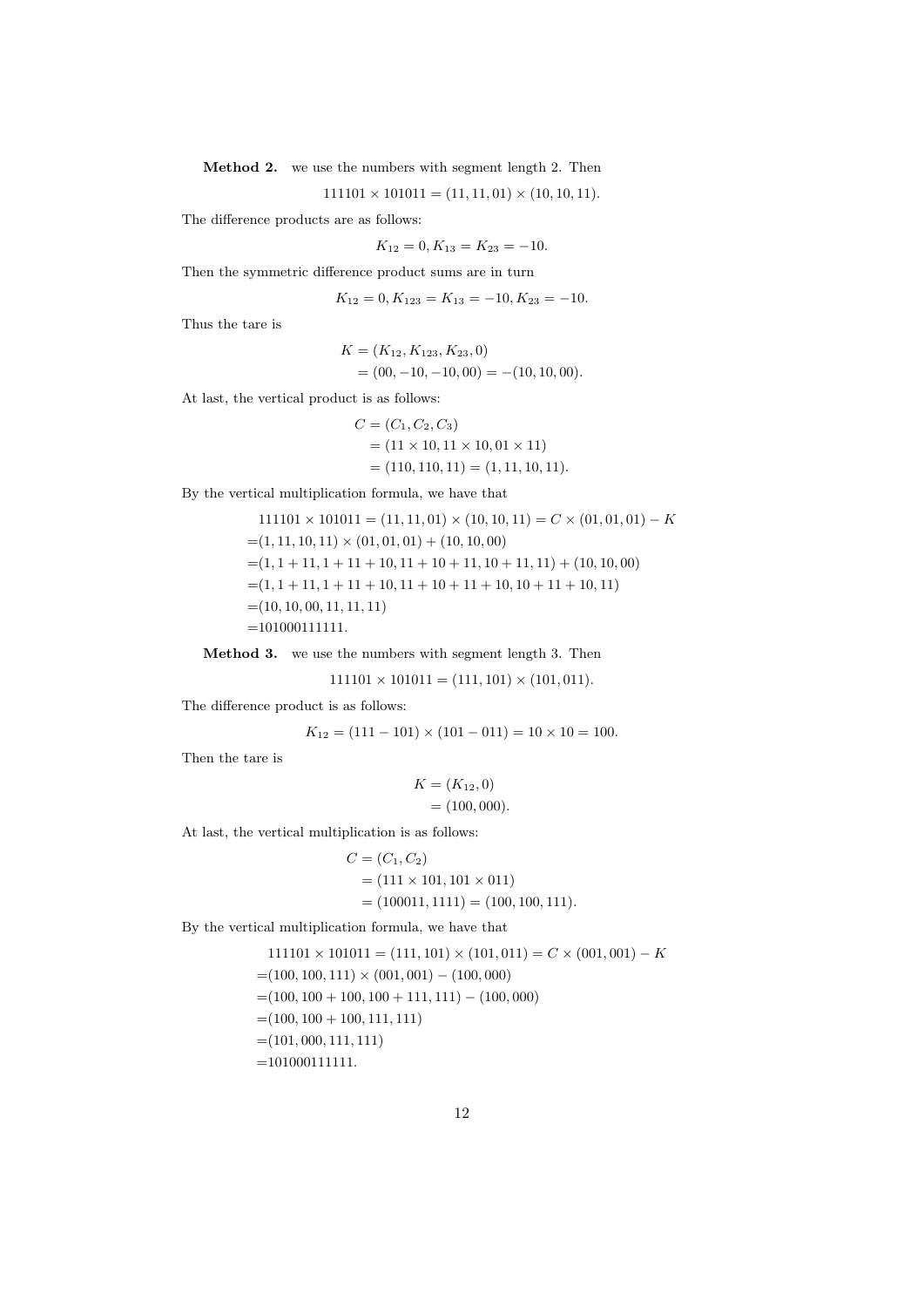Method 2. we use the numbers with segment length 2. Then

 $111101 \times 101011 = (11, 11, 01) \times (10, 10, 11).$ 

The difference products are as follows:

$$
K_{12} = 0, K_{13} = K_{23} = -10.
$$

Then the symmetric difference product sums are in turn

 $K_{12} = 0, K_{123} = K_{13} = -10, K_{23} = -10.$ 

Thus the tare is

$$
K = (K_{12}, K_{123}, K_{23}, 0)
$$
  
= (00, -10, -10, 00) = -(10, 10, 00).

At last, the vertical product is as follows:

$$
C = (C_1, C_2, C_3)
$$
  
= (11 × 10, 11 × 10, 01 × 11)  
= (110, 110, 11) = (1, 11, 10, 11).

By the vertical multiplication formula, we have that

 $111101 \times 101011 = (11, 11, 01) \times (10, 10, 11) = C \times (01, 01, 01) - K$  $=(1, 11, 10, 11) \times (01, 01, 01) + (10, 10, 00)$  $=(1, 1 + 11, 1 + 11 + 10, 11 + 10 + 11, 10 + 11, 11) + (10, 10, 00)$  $=(1, 1 + 11, 1 + 11 + 10, 11 + 10 + 11 + 10, 10 + 11 + 10, 11)$  $=(10, 10, 00, 11, 11, 11)$  $=101000111111.$ 

Method 3. we use the numbers with segment length 3. Then

 $111101 \times 101011 = (111, 101) \times (101, 011).$ 

The difference product is as follows:

$$
K_{12} = (111 - 101) \times (101 - 011) = 10 \times 10 = 100.
$$

Then the tare is

$$
K = (K_{12}, 0)
$$
  
= (100, 000).

At last, the vertical multiplication is as follows:

$$
C = (C_1, C_2)
$$
  
= (111 × 101, 101 × 011)  
= (100011, 1111) = (100, 100, 111).

By the vertical multiplication formula, we have that

$$
111101 \times 101011 = (111, 101) \times (101, 011) = C \times (001, 001) - K
$$
  
= (100, 100, 111) \times (001, 001) - (100, 000)  
= (100, 100 + 100, 100 + 111, 111) - (100, 000)  
= (100, 100 + 100, 111, 111)  
= (101, 000, 111, 111)  
= 101000111111.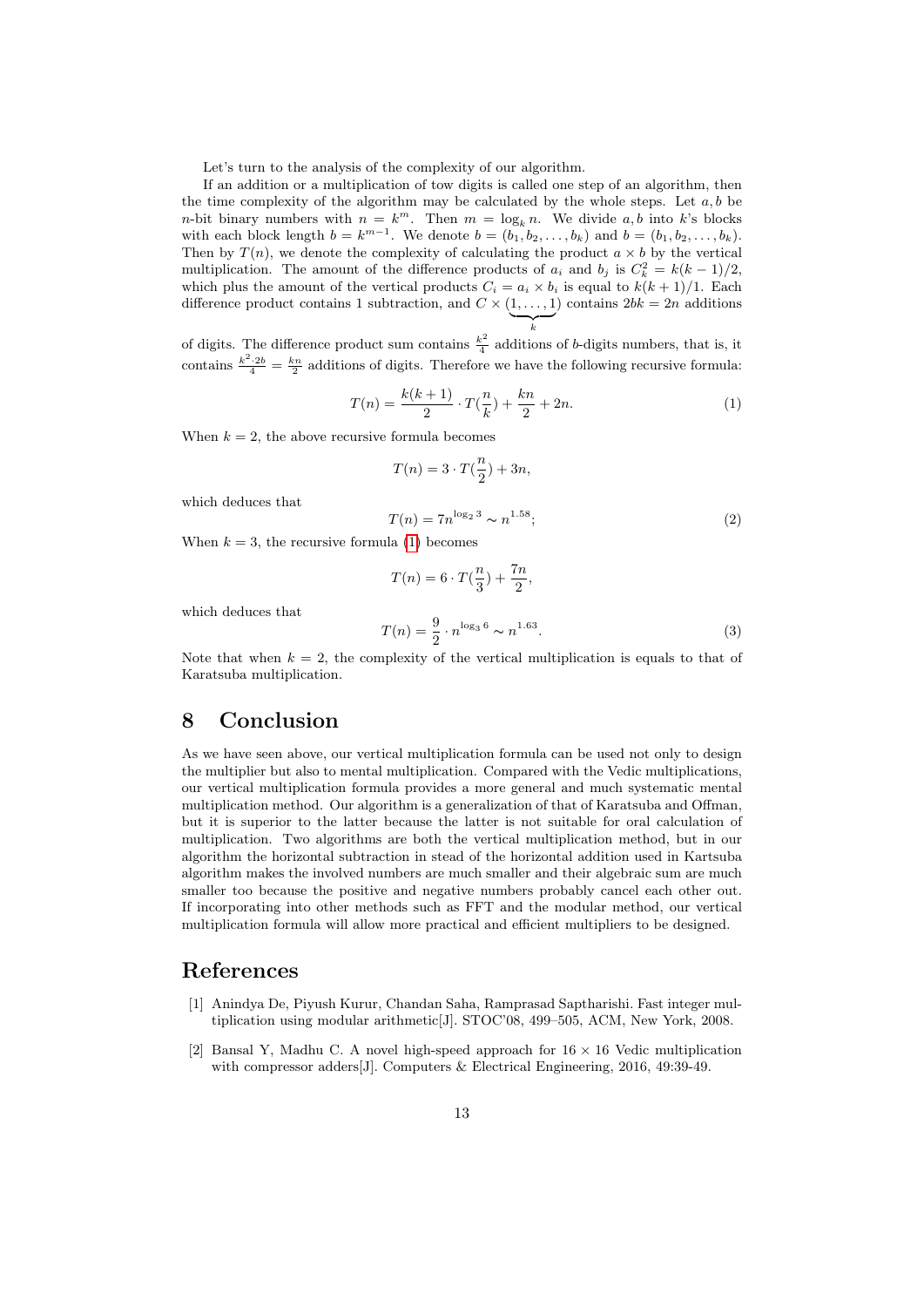Let's turn to the analysis of the complexity of our algorithm.

If an addition or a multiplication of tow digits is called one step of an algorithm, then the time complexity of the algorithm may be calculated by the whole steps. Let  $a, b$  be *n*-bit binary numbers with  $n = k^m$ . Then  $m = \log_k n$ . We divide a, b into k's blocks with each block length  $b = k^{m-1}$ . We denote  $b = (b_1, b_2, \ldots, b_k)$  and  $b = (b_1, b_2, \ldots, b_k)$ . Then by  $T(n)$ , we denote the complexity of calculating the product  $a \times b$  by the vertical multiplication. The amount of the difference products of  $a_i$  and  $b_j$  is  $C_k^2 = k(k-1)/2$ , which plus the amount of the vertical products  $C_i = a_i \times b_i$  is equal to  $k(k+1)/1$ . Each difference product contains 1 subtraction, and  $C \times (1, \ldots, 1)$  $\sum_{k}$ ) contains  $2bk = 2n$  additions

of digits. The difference product sum contains  $\frac{k^2}{4}$  $\frac{e^2}{4}$  additions of b-digits numbers, that is, it contains  $\frac{k^2 \cdot 2b}{4} = \frac{kn}{2}$  additions of digits. Therefore we have the following recursive formula:

<span id="page-12-1"></span>
$$
T(n) = \frac{k(k+1)}{2} \cdot T(\frac{n}{k}) + \frac{kn}{2} + 2n.
$$
 (1)

When  $k = 2$ , the above recursive formula becomes

$$
T(n) = 3 \cdot T(\frac{n}{2}) + 3n,
$$

which deduces that

$$
T(n) = 7n^{\log_2 3} \sim n^{1.58};
$$
\n(2)

When  $k = 3$ , the recursive formula [\(1\)](#page-12-1) becomes

$$
T(n) = 6 \cdot T(\frac{n}{3}) + \frac{7n}{2},
$$
  

$$
T(n) = \frac{9}{2} \cdot n^{\log_3 6} \sim n^{1.63}.
$$
 (3)

which deduces that

Note that when 
$$
k = 2
$$
, the complexity of the vertical multiplication is equals to that of Karatsuba multiplication.

#### 8 Conclusion

As we have seen above, our vertical multiplication formula can be used not only to design the multiplier but also to mental multiplication. Compared with the Vedic multiplications, our vertical multiplication formula provides a more general and much systematic mental multiplication method. Our algorithm is a generalization of that of Karatsuba and Offman, but it is superior to the latter because the latter is not suitable for oral calculation of multiplication. Two algorithms are both the vertical multiplication method, but in our algorithm the horizontal subtraction in stead of the horizontal addition used in Kartsuba algorithm makes the involved numbers are much smaller and their algebraic sum are much smaller too because the positive and negative numbers probably cancel each other out. If incorporating into other methods such as FFT and the modular method, our vertical multiplication formula will allow more practical and efficient multipliers to be designed.

#### References

- [1] Anindya De, Piyush Kurur, Chandan Saha, Ramprasad Saptharishi. Fast integer multiplication using modular arithmetic[J]. STOC'08, 499–505, ACM, New York, 2008.
- <span id="page-12-0"></span>[2] Bansal Y, Madhu C. A novel high-speed approach for  $16 \times 16$  Vedic multiplication with compressor adders<sup>[J]</sup>. Computers & Electrical Engineering, 2016, 49:39-49.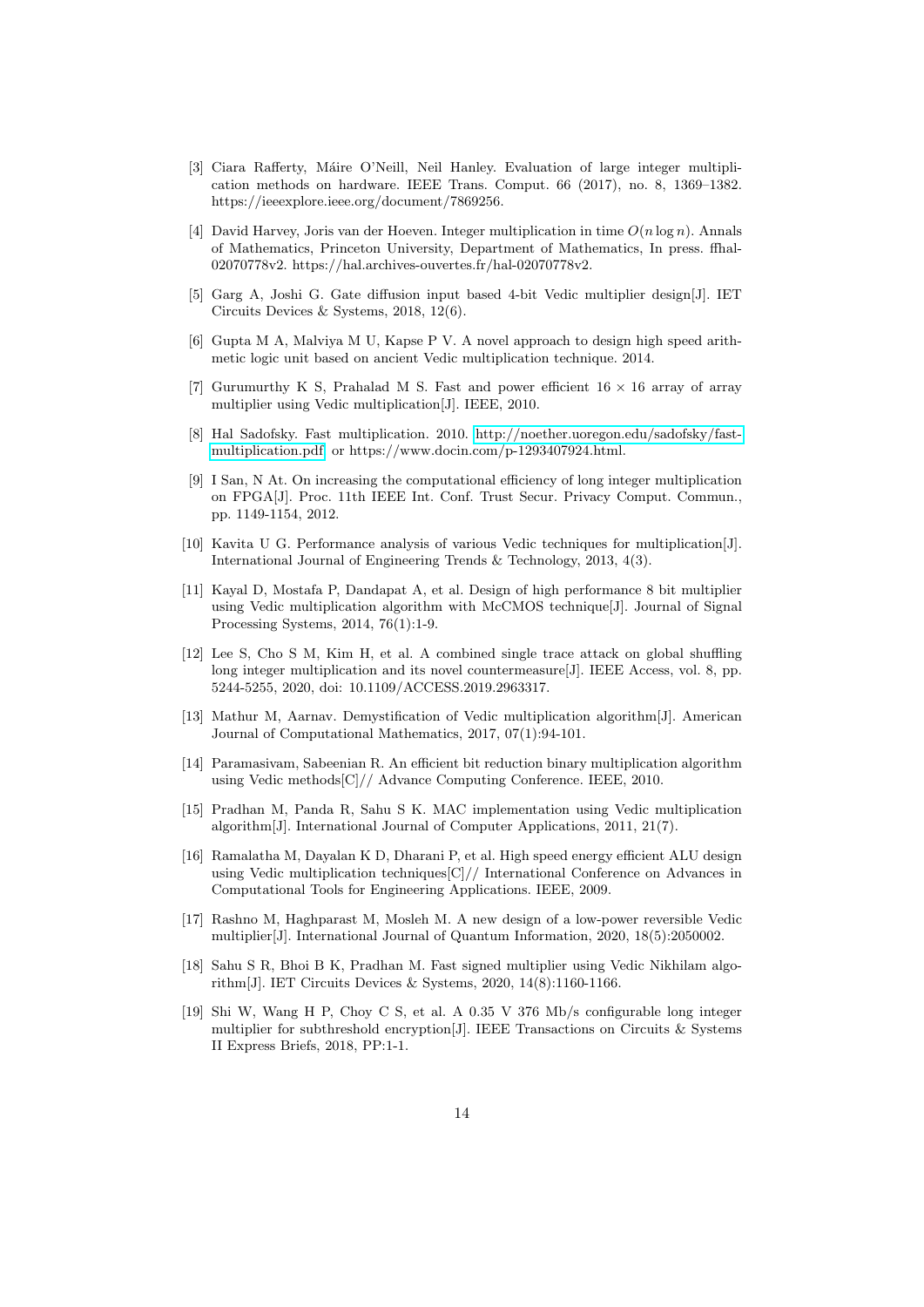- <span id="page-13-6"></span>[3] Ciara Rafferty, Máire O'Neill, Neil Hanley. Evaluation of large integer multiplication methods on hardware. IEEE Trans. Comput. 66 (2017), no. 8, 1369–1382. https://ieeexplore.ieee.org/document/7869256.
- <span id="page-13-10"></span>[4] David Harvey, Joris van der Hoeven. Integer multiplication in time  $O(n \log n)$ . Annals of Mathematics, Princeton University, Department of Mathematics, In press. ffhal-02070778v2. https://hal.archives-ouvertes.fr/hal-02070778v2.
- <span id="page-13-0"></span>[5] Garg A, Joshi G. Gate diffusion input based 4-bit Vedic multiplier design[J]. IET Circuits Devices & Systems, 2018, 12(6).
- [6] Gupta M A, Malviya M U, Kapse P V. A novel approach to design high speed arithmetic logic unit based on ancient Vedic multiplication technique. 2014.
- <span id="page-13-1"></span>[7] Gurumurthy K S, Prahalad M S. Fast and power efficient  $16 \times 16$  array of array multiplier using Vedic multiplication[J]. IEEE, 2010.
- <span id="page-13-11"></span>[8] Hal Sadofsky. Fast multiplication. 2010. [http://noether.uoregon.edu/sadofsky/fast](http://noether.uoregon.edu/sadofsky/fast-multiplication.pdf)[multiplication.pdf.](http://noether.uoregon.edu/sadofsky/fast-multiplication.pdf) or https://www.docin.com/p-1293407924.html.
- <span id="page-13-7"></span>[9] I San, N At. On increasing the computational efficiency of long integer multiplication on FPGA[J]. Proc. 11th IEEE Int. Conf. Trust Secur. Privacy Comput. Commun., pp. 1149-1154, 2012.
- <span id="page-13-2"></span>[10] Kavita U G. Performance analysis of various Vedic techniques for multiplication[J]. International Journal of Engineering Trends & Technology, 2013, 4(3).
- <span id="page-13-3"></span>[11] Kayal D, Mostafa P, Dandapat A, et al. Design of high performance 8 bit multiplier using Vedic multiplication algorithm with McCMOS technique[J]. Journal of Signal Processing Systems, 2014, 76(1):1-9.
- <span id="page-13-8"></span>[12] Lee S, Cho S M, Kim H, et al. A combined single trace attack on global shuffling long integer multiplication and its novel countermeasure[J]. IEEE Access, vol. 8, pp. 5244-5255, 2020, doi: 10.1109/ACCESS.2019.2963317.
- <span id="page-13-4"></span>[13] Mathur M, Aarnav. Demystification of Vedic multiplication algorithm[J]. American Journal of Computational Mathematics, 2017, 07(1):94-101.
- [14] Paramasivam, Sabeenian R. An efficient bit reduction binary multiplication algorithm using Vedic methods[C]// Advance Computing Conference. IEEE, 2010.
- [15] Pradhan M, Panda R, Sahu S K. MAC implementation using Vedic multiplication algorithm[J]. International Journal of Computer Applications, 2011, 21(7).
- [16] Ramalatha M, Dayalan K D, Dharani P, et al. High speed energy efficient ALU design using Vedic multiplication techniques[C]// International Conference on Advances in Computational Tools for Engineering Applications. IEEE, 2009.
- [17] Rashno M, Haghparast M, Mosleh M. A new design of a low-power reversible Vedic multiplier[J]. International Journal of Quantum Information, 2020, 18(5):2050002.
- <span id="page-13-5"></span>[18] Sahu S R, Bhoi B K, Pradhan M. Fast signed multiplier using Vedic Nikhilam algorithm[J]. IET Circuits Devices & Systems, 2020, 14(8):1160-1166.
- <span id="page-13-9"></span>[19] Shi W, Wang H P, Choy C S, et al. A 0.35 V 376 Mb/s configurable long integer multiplier for subthreshold encryption[J]. IEEE Transactions on Circuits & Systems II Express Briefs, 2018, PP:1-1.